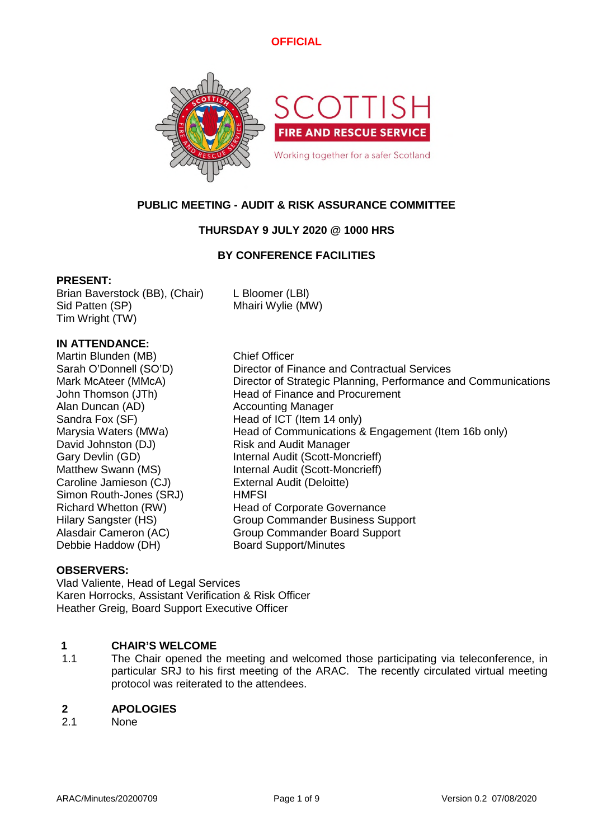

# **PUBLIC MEETING - AUDIT & RISK ASSURANCE COMMITTEE**

# **THURSDAY 9 JULY 2020 @ 1000 HRS**

# **BY CONFERENCE FACILITIES**

### **PRESENT:**

Brian Baverstock (BB), (Chair) L Bloomer (LBl) Sid Patten (SP) Mhairi Wylie (MW) Tim Wright (TW)

# **IN ATTENDANCE:**

Martin Blunden (MB) Chief Officer Alan Duncan (AD) Accounting Manager David Johnston (DJ) Risk and Audit Manager Caroline Jamieson (CJ) External Audit (Deloitte) Simon Routh-Jones (SRJ) HMFSI Debbie Haddow (DH) Board Support/Minutes

Sarah O'Donnell (SO'D) Director of Finance and Contractual Services Mark McAteer (MMcA) Director of Strategic Planning, Performance and Communications John Thomson (JTh) Head of Finance and Procurement Sandra Fox (SF) Head of ICT (Item 14 only) Marysia Waters (MWa) Head of Communications & Engagement (Item 16b only) Gary Devlin (GD) Internal Audit (Scott-Moncrieff) Matthew Swann (MS) Internal Audit (Scott-Moncrieff) Richard Whetton (RW) Head of Corporate Governance Hilary Sangster (HS) Group Commander Business Support Alasdair Cameron (AC) Group Commander Board Support

# **OBSERVERS:**

Vlad Valiente, Head of Legal Services Karen Horrocks, Assistant Verification & Risk Officer Heather Greig, Board Support Executive Officer

# **1 CHAIR'S WELCOME**

1.1 The Chair opened the meeting and welcomed those participating via teleconference, in particular SRJ to his first meeting of the ARAC. The recently circulated virtual meeting protocol was reiterated to the attendees.

### **2 APOLOGIES**

2.1 None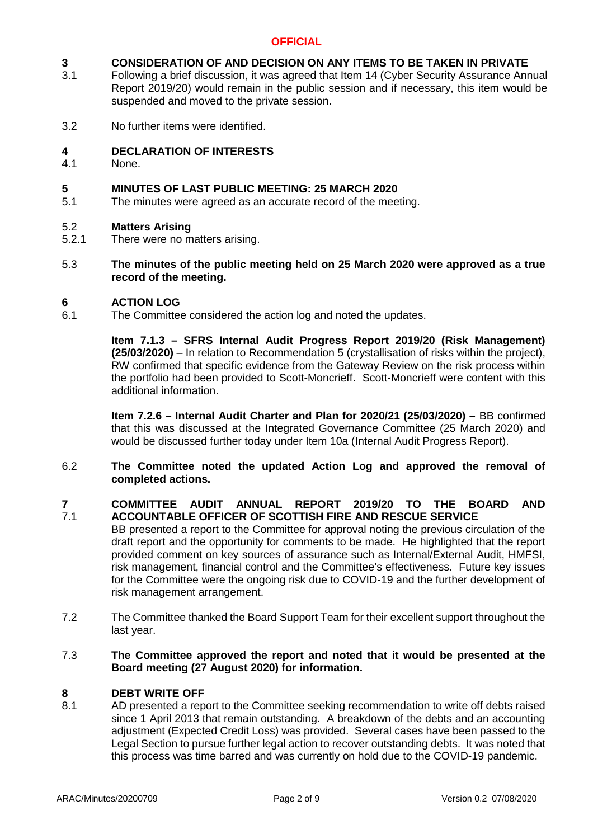### **3 CONSIDERATION OF AND DECISION ON ANY ITEMS TO BE TAKEN IN PRIVATE**

- 3.1 Following a brief discussion, it was agreed that Item 14 (Cyber Security Assurance Annual Report 2019/20) would remain in the public session and if necessary, this item would be suspended and moved to the private session.
- 3.2 No further items were identified.

#### **4 DECLARATION OF INTERESTS**

4.1 None.

### **5 MINUTES OF LAST PUBLIC MEETING: 25 MARCH 2020**

5.1 The minutes were agreed as an accurate record of the meeting.

#### 5.2 **Matters Arising**

- 5.2.1 There were no matters arising.
- 5.3 **The minutes of the public meeting held on 25 March 2020 were approved as a true record of the meeting.**

#### **6 ACTION LOG**

6.1 The Committee considered the action log and noted the updates.

> **Item 7.1.3 – SFRS Internal Audit Progress Report 2019/20 (Risk Management) (25/03/2020)** – In relation to Recommendation 5 (crystallisation of risks within the project), RW confirmed that specific evidence from the Gateway Review on the risk process within the portfolio had been provided to Scott-Moncrieff. Scott-Moncrieff were content with this additional information.

> **Item 7.2.6 – Internal Audit Charter and Plan for 2020/21 (25/03/2020) –** BB confirmed that this was discussed at the Integrated Governance Committee (25 March 2020) and would be discussed further today under Item 10a (Internal Audit Progress Report).

### 6.2 **The Committee noted the updated Action Log and approved the removal of completed actions.**

#### **7** 7.1 **COMMITTEE AUDIT ANNUAL REPORT 2019/20 TO THE BOARD AND ACCOUNTABLE OFFICER OF SCOTTISH FIRE AND RESCUE SERVICE**

- BB presented a report to the Committee for approval noting the previous circulation of the draft report and the opportunity for comments to be made. He highlighted that the report provided comment on key sources of assurance such as Internal/External Audit, HMFSI, risk management, financial control and the Committee's effectiveness. Future key issues for the Committee were the ongoing risk due to COVID-19 and the further development of risk management arrangement.
- 7.2 The Committee thanked the Board Support Team for their excellent support throughout the last year.

### 7.3 **The Committee approved the report and noted that it would be presented at the Board meeting (27 August 2020) for information.**

#### **8 DEBT WRITE OFF**

8.1 AD presented a report to the Committee seeking recommendation to write off debts raised since 1 April 2013 that remain outstanding. A breakdown of the debts and an accounting adjustment (Expected Credit Loss) was provided. Several cases have been passed to the Legal Section to pursue further legal action to recover outstanding debts. It was noted that this process was time barred and was currently on hold due to the COVID-19 pandemic.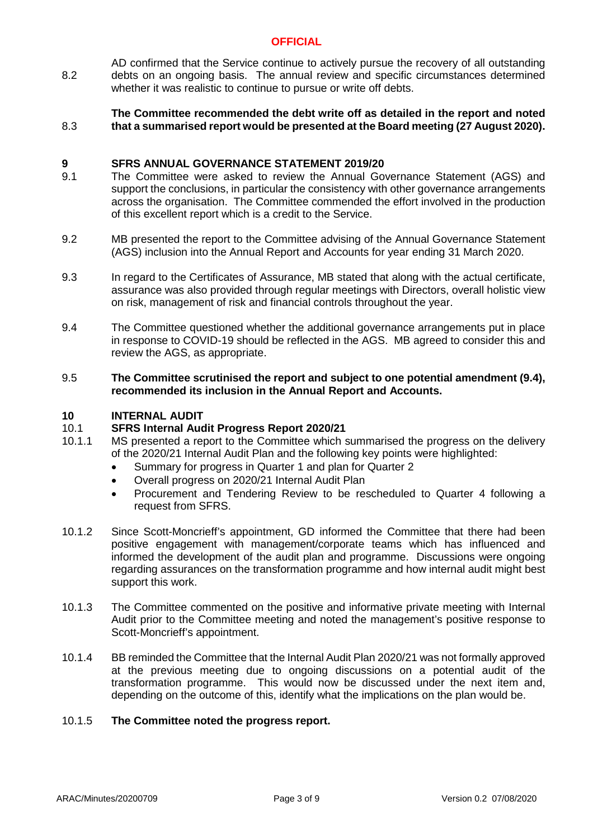8.2 AD confirmed that the Service continue to actively pursue the recovery of all outstanding debts on an ongoing basis. The annual review and specific circumstances determined whether it was realistic to continue to pursue or write off debts.

### 8.3 **The Committee recommended the debt write off as detailed in the report and noted that a summarised report would be presented at the Board meeting (27 August 2020).**

#### **9 SFRS ANNUAL GOVERNANCE STATEMENT 2019/20**

- 9.1 The Committee were asked to review the Annual Governance Statement (AGS) and support the conclusions, in particular the consistency with other governance arrangements across the organisation. The Committee commended the effort involved in the production of this excellent report which is a credit to the Service.
- 9.2 MB presented the report to the Committee advising of the Annual Governance Statement (AGS) inclusion into the Annual Report and Accounts for year ending 31 March 2020.
- 9.3 In regard to the Certificates of Assurance, MB stated that along with the actual certificate, assurance was also provided through regular meetings with Directors, overall holistic view on risk, management of risk and financial controls throughout the year.
- 9.4 The Committee questioned whether the additional governance arrangements put in place in response to COVID-19 should be reflected in the AGS. MB agreed to consider this and review the AGS, as appropriate.

### 9.5 **The Committee scrutinised the report and subject to one potential amendment (9.4), recommended its inclusion in the Annual Report and Accounts.**

#### **10 INTERNAL AUDIT**

#### 10.1 **SFRS Internal Audit Progress Report 2020/21**

- 10.1.1 MS presented a report to the Committee which summarised the progress on the delivery of the 2020/21 Internal Audit Plan and the following key points were highlighted:
	- Summary for progress in Quarter 1 and plan for Quarter 2
		- Overall progress on 2020/21 Internal Audit Plan
	- Procurement and Tendering Review to be rescheduled to Quarter 4 following a request from SFRS.
- 10.1.2 Since Scott-Moncrieff's appointment, GD informed the Committee that there had been positive engagement with management/corporate teams which has influenced and informed the development of the audit plan and programme. Discussions were ongoing regarding assurances on the transformation programme and how internal audit might best support this work.
- 10.1.3 The Committee commented on the positive and informative private meeting with Internal Audit prior to the Committee meeting and noted the management's positive response to Scott-Moncrieff's appointment.
- 10.1.4 BB reminded the Committee that the Internal Audit Plan 2020/21 was not formally approved at the previous meeting due to ongoing discussions on a potential audit of the transformation programme. This would now be discussed under the next item and, depending on the outcome of this, identify what the implications on the plan would be.

#### 10.1.5 **The Committee noted the progress report.**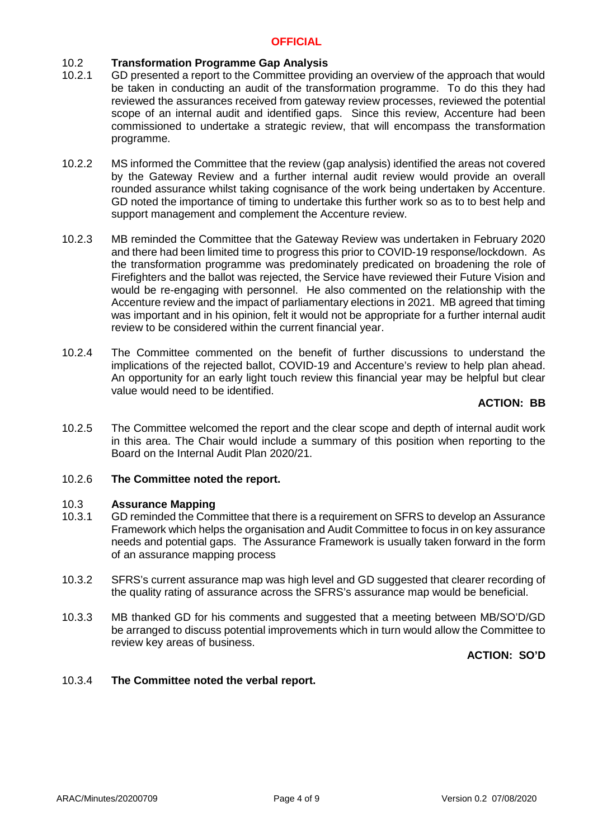## 10.2 **Transformation Programme Gap Analysis**

- 10.2.1 GD presented a report to the Committee providing an overview of the approach that would be taken in conducting an audit of the transformation programme. To do this they had reviewed the assurances received from gateway review processes, reviewed the potential scope of an internal audit and identified gaps. Since this review, Accenture had been commissioned to undertake a strategic review, that will encompass the transformation programme.
- 10.2.2 MS informed the Committee that the review (gap analysis) identified the areas not covered by the Gateway Review and a further internal audit review would provide an overall rounded assurance whilst taking cognisance of the work being undertaken by Accenture. GD noted the importance of timing to undertake this further work so as to to best help and support management and complement the Accenture review.
- 10.2.3 MB reminded the Committee that the Gateway Review was undertaken in February 2020 and there had been limited time to progress this prior to COVID-19 response/lockdown. As the transformation programme was predominately predicated on broadening the role of Firefighters and the ballot was rejected, the Service have reviewed their Future Vision and would be re-engaging with personnel. He also commented on the relationship with the Accenture review and the impact of parliamentary elections in 2021. MB agreed that timing was important and in his opinion, felt it would not be appropriate for a further internal audit review to be considered within the current financial year.
- 10.2.4 The Committee commented on the benefit of further discussions to understand the implications of the rejected ballot, COVID-19 and Accenture's review to help plan ahead. An opportunity for an early light touch review this financial year may be helpful but clear value would need to be identified.

## **ACTION: BB**

10.2.5 The Committee welcomed the report and the clear scope and depth of internal audit work in this area. The Chair would include a summary of this position when reporting to the Board on the Internal Audit Plan 2020/21.

#### 10.2.6 **The Committee noted the report.**

#### 10.3 **Assurance Mapping**

- 10.3.1 GD reminded the Committee that there is a requirement on SFRS to develop an Assurance Framework which helps the organisation and Audit Committee to focus in on key assurance needs and potential gaps. The Assurance Framework is usually taken forward in the form of an assurance mapping process
- 10.3.2 SFRS's current assurance map was high level and GD suggested that clearer recording of the quality rating of assurance across the SFRS's assurance map would be beneficial.
- 10.3.3 MB thanked GD for his comments and suggested that a meeting between MB/SO'D/GD be arranged to discuss potential improvements which in turn would allow the Committee to review key areas of business.

**ACTION: SO'D**

#### 10.3.4 **The Committee noted the verbal report.**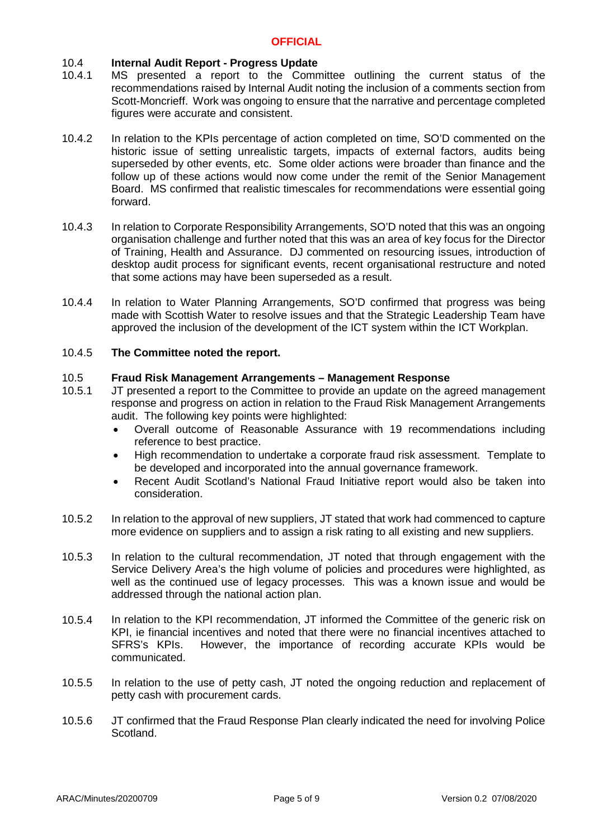#### $10.4$ **Internal Audit Report - Progress Update**

- 10.4.1 MS presented a report to the Committee outlining the current status of the recommendations raised by Internal Audit noting the inclusion of a comments section from Scott-Moncrieff. Work was ongoing to ensure that the narrative and percentage completed figures were accurate and consistent.
- 10.4.2 In relation to the KPIs percentage of action completed on time, SO'D commented on the historic issue of setting unrealistic targets, impacts of external factors, audits being superseded by other events, etc. Some older actions were broader than finance and the follow up of these actions would now come under the remit of the Senior Management Board. MS confirmed that realistic timescales for recommendations were essential going forward.
- 10.4.3 In relation to Corporate Responsibility Arrangements, SO'D noted that this was an ongoing organisation challenge and further noted that this was an area of key focus for the Director of Training, Health and Assurance. DJ commented on resourcing issues, introduction of desktop audit process for significant events, recent organisational restructure and noted that some actions may have been superseded as a result.
- 10.4.4 In relation to Water Planning Arrangements, SO'D confirmed that progress was being made with Scottish Water to resolve issues and that the Strategic Leadership Team have approved the inclusion of the development of the ICT system within the ICT Workplan.

#### 10.4.5 **The Committee noted the report.**

#### 10.5 **Fraud Risk Management Arrangements – Management Response**

- 10.5.1 JT presented a report to the Committee to provide an update on the agreed management response and progress on action in relation to the Fraud Risk Management Arrangements audit. The following key points were highlighted:
	- Overall outcome of Reasonable Assurance with 19 recommendations including reference to best practice.
	- High recommendation to undertake a corporate fraud risk assessment. Template to be developed and incorporated into the annual governance framework.
	- Recent Audit Scotland's National Fraud Initiative report would also be taken into consideration.
- 10.5.2 In relation to the approval of new suppliers, JT stated that work had commenced to capture more evidence on suppliers and to assign a risk rating to all existing and new suppliers.
- 10.5.3 In relation to the cultural recommendation, JT noted that through engagement with the Service Delivery Area's the high volume of policies and procedures were highlighted, as well as the continued use of legacy processes. This was a known issue and would be addressed through the national action plan.
- 10.5.4 In relation to the KPI recommendation, JT informed the Committee of the generic risk on KPI, ie financial incentives and noted that there were no financial incentives attached to SFRS's KPIs. However, the importance of recording accurate KPIs would be communicated.
- 10.5.5 In relation to the use of petty cash, JT noted the ongoing reduction and replacement of petty cash with procurement cards.
- 10.5.6 JT confirmed that the Fraud Response Plan clearly indicated the need for involving Police Scotland.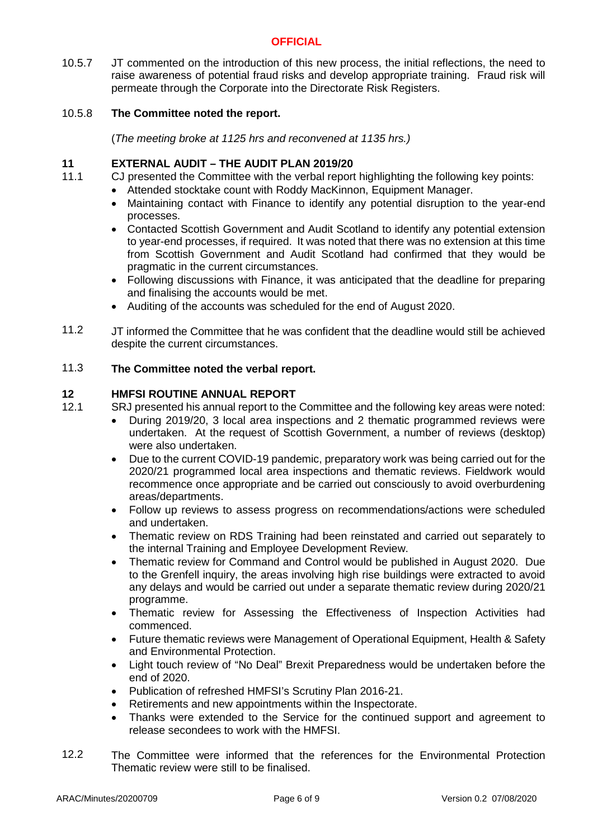10.5.7 JT commented on the introduction of this new process, the initial reflections, the need to raise awareness of potential fraud risks and develop appropriate training. Fraud risk will permeate through the Corporate into the Directorate Risk Registers.

#### 10.5.8 **The Committee noted the report.**

(*The meeting broke at 1125 hrs and reconvened at 1135 hrs.)*

#### **11 EXTERNAL AUDIT – THE AUDIT PLAN 2019/20**

- 11.1 CJ presented the Committee with the verbal report highlighting the following key points:
	- Attended stocktake count with Roddy MacKinnon, Equipment Manager.
	- Maintaining contact with Finance to identify any potential disruption to the year-end processes.
	- Contacted Scottish Government and Audit Scotland to identify any potential extension to year-end processes, if required. It was noted that there was no extension at this time from Scottish Government and Audit Scotland had confirmed that they would be pragmatic in the current circumstances.
	- Following discussions with Finance, it was anticipated that the deadline for preparing and finalising the accounts would be met.
	- Auditing of the accounts was scheduled for the end of August 2020.
- 11.2 JT informed the Committee that he was confident that the deadline would still be achieved despite the current circumstances.

#### 11.3 **The Committee noted the verbal report.**

## **12 HMFSI ROUTINE ANNUAL REPORT**

- 12.1 SRJ presented his annual report to the Committee and the following key areas were noted:
	- During 2019/20, 3 local area inspections and 2 thematic programmed reviews were undertaken. At the request of Scottish Government, a number of reviews (desktop) were also undertaken.
	- Due to the current COVID-19 pandemic, preparatory work was being carried out for the 2020/21 programmed local area inspections and thematic reviews. Fieldwork would recommence once appropriate and be carried out consciously to avoid overburdening areas/departments.
	- Follow up reviews to assess progress on recommendations/actions were scheduled and undertaken.
	- Thematic review on RDS Training had been reinstated and carried out separately to the internal Training and Employee Development Review.
	- Thematic review for Command and Control would be published in August 2020. Due to the Grenfell inquiry, the areas involving high rise buildings were extracted to avoid any delays and would be carried out under a separate thematic review during 2020/21 programme.
	- Thematic review for Assessing the Effectiveness of Inspection Activities had commenced.
	- Future thematic reviews were Management of Operational Equipment, Health & Safety and Environmental Protection.
	- Light touch review of "No Deal" Brexit Preparedness would be undertaken before the end of 2020.
	- Publication of refreshed HMFSI's Scrutiny Plan 2016-21.
	- Retirements and new appointments within the Inspectorate.
	- Thanks were extended to the Service for the continued support and agreement to release secondees to work with the HMFSI.
- 12.2 The Committee were informed that the references for the Environmental Protection Thematic review were still to be finalised.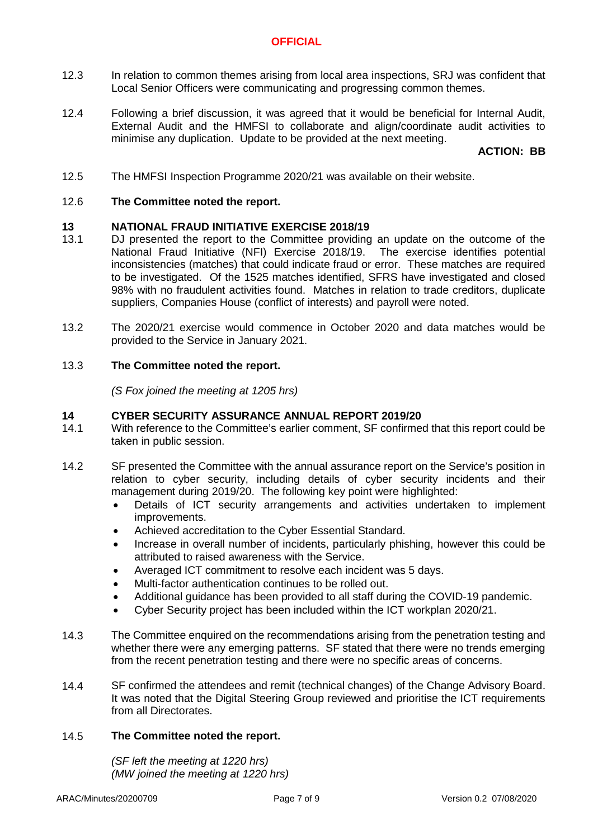- 12.3 In relation to common themes arising from local area inspections, SRJ was confident that Local Senior Officers were communicating and progressing common themes.
- 12.4 Following a brief discussion, it was agreed that it would be beneficial for Internal Audit, External Audit and the HMFSI to collaborate and align/coordinate audit activities to minimise any duplication. Update to be provided at the next meeting.

## **ACTION: BB**

12.5 The HMFSI Inspection Programme 2020/21 was available on their website.

#### 12.6 **The Committee noted the report.**

## **13 NATIONAL FRAUD INITIATIVE EXERCISE 2018/19**

- 13.1 DJ presented the report to the Committee providing an update on the outcome of the National Fraud Initiative (NFI) Exercise 2018/19. The exercise identifies potential inconsistencies (matches) that could indicate fraud or error. These matches are required to be investigated. Of the 1525 matches identified, SFRS have investigated and closed 98% with no fraudulent activities found. Matches in relation to trade creditors, duplicate suppliers, Companies House (conflict of interests) and payroll were noted.
- 13.2 The 2020/21 exercise would commence in October 2020 and data matches would be provided to the Service in January 2021.

#### 13.3 **The Committee noted the report.**

*(S Fox joined the meeting at 1205 hrs)*

### **14 CYBER SECURITY ASSURANCE ANNUAL REPORT 2019/20**

- 14.1 With reference to the Committee's earlier comment, SF confirmed that this report could be taken in public session.
- 14.2 SF presented the Committee with the annual assurance report on the Service's position in relation to cyber security, including details of cyber security incidents and their management during 2019/20. The following key point were highlighted:
	- Details of ICT security arrangements and activities undertaken to implement improvements.
	- Achieved accreditation to the Cyber Essential Standard.
	- Increase in overall number of incidents, particularly phishing, however this could be attributed to raised awareness with the Service.
	- Averaged ICT commitment to resolve each incident was 5 days.
	- Multi-factor authentication continues to be rolled out.
	- Additional guidance has been provided to all staff during the COVID-19 pandemic.
	- Cyber Security project has been included within the ICT workplan 2020/21.
- 14.3 The Committee enquired on the recommendations arising from the penetration testing and whether there were any emerging patterns. SF stated that there were no trends emerging from the recent penetration testing and there were no specific areas of concerns.
- 14.4 SF confirmed the attendees and remit (technical changes) of the Change Advisory Board. It was noted that the Digital Steering Group reviewed and prioritise the ICT requirements from all Directorates.

#### 14.5 **The Committee noted the report.**

*(SF left the meeting at 1220 hrs) (MW joined the meeting at 1220 hrs)*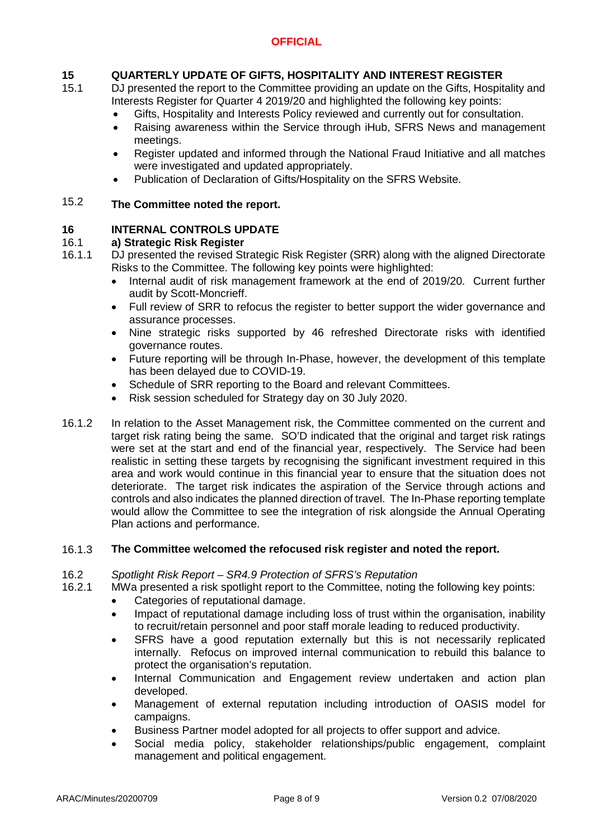# **15 QUARTERLY UPDATE OF GIFTS, HOSPITALITY AND INTEREST REGISTER**

- 15.1 DJ presented the report to the Committee providing an update on the Gifts, Hospitality and Interests Register for Quarter 4 2019/20 and highlighted the following key points:
	- Gifts, Hospitality and Interests Policy reviewed and currently out for consultation.
	- Raising awareness within the Service through iHub, SFRS News and management meetings.
	- Register updated and informed through the National Fraud Initiative and all matches were investigated and updated appropriately.
	- Publication of Declaration of Gifts/Hospitality on the SFRS Website.

### 15.2 **The Committee noted the report.**

#### **16 INTERNAL CONTROLS UPDATE**

#### 16.1 **a) Strategic Risk Register**

- 16.1.1 DJ presented the revised Strategic Risk Register (SRR) along with the aligned Directorate Risks to the Committee. The following key points were highlighted:
	- Internal audit of risk management framework at the end of 2019/20. Current further audit by Scott-Moncrieff.
	- Full review of SRR to refocus the register to better support the wider governance and assurance processes.
	- Nine strategic risks supported by 46 refreshed Directorate risks with identified governance routes.
	- Future reporting will be through In-Phase, however, the development of this template has been delayed due to COVID-19.
	- Schedule of SRR reporting to the Board and relevant Committees.
	- Risk session scheduled for Strategy day on 30 July 2020.
- 16.1.2 In relation to the Asset Management risk, the Committee commented on the current and target risk rating being the same. SO'D indicated that the original and target risk ratings were set at the start and end of the financial year, respectively. The Service had been realistic in setting these targets by recognising the significant investment required in this area and work would continue in this financial year to ensure that the situation does not deteriorate. The target risk indicates the aspiration of the Service through actions and controls and also indicates the planned direction of travel. The In-Phase reporting template would allow the Committee to see the integration of risk alongside the Annual Operating Plan actions and performance.

#### 16.1.3 **The Committee welcomed the refocused risk register and noted the report.**

#### 16.2 *Spotlight Risk Report – SR4.9 Protection of SFRS's Reputation*

16.2.1 MWa presented a risk spotlight report to the Committee, noting the following key points:

- Categories of reputational damage.
- Impact of reputational damage including loss of trust within the organisation, inability to recruit/retain personnel and poor staff morale leading to reduced productivity.
- SFRS have a good reputation externally but this is not necessarily replicated internally. Refocus on improved internal communication to rebuild this balance to protect the organisation's reputation.
- Internal Communication and Engagement review undertaken and action plan developed.
- Management of external reputation including introduction of OASIS model for campaigns.
- Business Partner model adopted for all projects to offer support and advice.
- Social media policy, stakeholder relationships/public engagement, complaint management and political engagement.